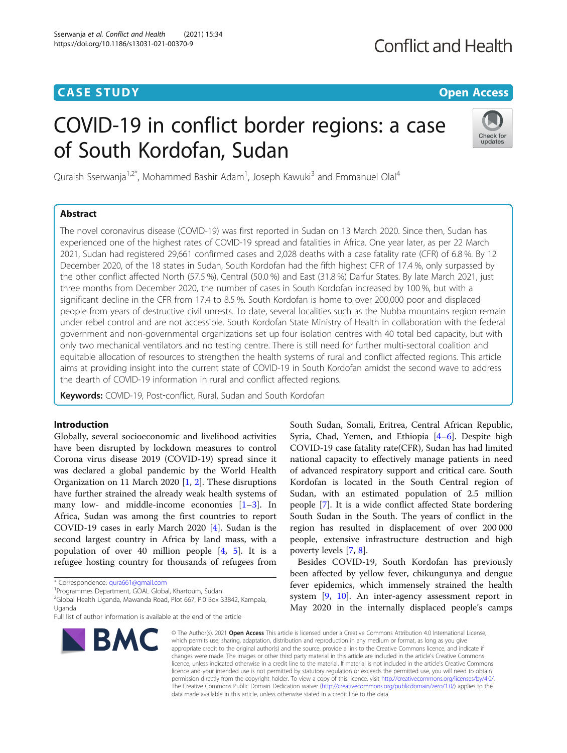# **CASE STUDY CASE STUDY Open Access**

# COVID-19 in conflict border regions: a case of South Kordofan, Sudan



Quraish Sserwanja<sup>1,2\*</sup>, Mohammed Bashir Adam<sup>1</sup>, Joseph Kawuki<sup>3</sup> and Emmanuel Olal<sup>4</sup>

## Abstract

The novel coronavirus disease (COVID-19) was first reported in Sudan on 13 March 2020. Since then, Sudan has experienced one of the highest rates of COVID-19 spread and fatalities in Africa. One year later, as per 22 March 2021, Sudan had registered 29,661 confirmed cases and 2,028 deaths with a case fatality rate (CFR) of 6.8 %. By 12 December 2020, of the 18 states in Sudan, South Kordofan had the fifth highest CFR of 17.4 %, only surpassed by the other conflict affected North (57.5 %), Central (50.0 %) and East (31.8 %) Darfur States. By late March 2021, just three months from December 2020, the number of cases in South Kordofan increased by 100 %, but with a significant decline in the CFR from 17.4 to 8.5 %. South Kordofan is home to over 200,000 poor and displaced people from years of destructive civil unrests. To date, several localities such as the Nubba mountains region remain under rebel control and are not accessible. South Kordofan State Ministry of Health in collaboration with the federal government and non-governmental organizations set up four isolation centres with 40 total bed capacity, but with only two mechanical ventilators and no testing centre. There is still need for further multi-sectoral coalition and equitable allocation of resources to strengthen the health systems of rural and conflict affected regions. This article aims at providing insight into the current state of COVID-19 in South Kordofan amidst the second wave to address the dearth of COVID-19 information in rural and conflict affected regions.

Keywords: COVID-19, Post-conflict, Rural, Sudan and South Kordofan

## Introduction

Globally, several socioeconomic and livelihood activities have been disrupted by lockdown measures to control Corona virus disease 2019 (COVID-19) spread since it was declared a global pandemic by the World Health Organization on 11 March 2020 [\[1](#page-3-0), [2](#page-3-0)]. These disruptions have further strained the already weak health systems of many low- and middle-income economies [\[1](#page-3-0)–[3\]](#page-3-0). In Africa, Sudan was among the first countries to report COVID-19 cases in early March 2020 [[4\]](#page-3-0). Sudan is the second largest country in Africa by land mass, with a population of over 40 million people [[4,](#page-3-0) [5\]](#page-3-0). It is a refugee hosting country for thousands of refugees from

<sup>1</sup> Programmes Department, GOAL Global, Khartoum, Sudan

2 Global Health Uganda, Mawanda Road, Plot 667, P.0 Box 33842, Kampala, Uganda

Full list of author information is available at the end of the article



South Sudan, Somali, Eritrea, Central African Republic, Syria, Chad, Yemen, and Ethiopia [[4](#page-3-0)–[6\]](#page-3-0). Despite high COVID-19 case fatality rate(CFR), Sudan has had limited national capacity to effectively manage patients in need of advanced respiratory support and critical care. South Kordofan is located in the South Central region of Sudan, with an estimated population of 2.5 million people [[7\]](#page-3-0). It is a wide conflict affected State bordering South Sudan in the South. The years of conflict in the region has resulted in displacement of over 200 000 people, extensive infrastructure destruction and high poverty levels [\[7](#page-3-0), [8](#page-3-0)].

Besides COVID-19, South Kordofan has previously been affected by yellow fever, chikungunya and dengue fever epidemics, which immensely strained the health system [\[9](#page-4-0), [10\]](#page-4-0). An inter-agency assessment report in May 2020 in the internally displaced people's camps

© The Author(s), 2021 **Open Access** This article is licensed under a Creative Commons Attribution 4.0 International License, which permits use, sharing, adaptation, distribution and reproduction in any medium or format, as long as you give appropriate credit to the original author(s) and the source, provide a link to the Creative Commons licence, and indicate if changes were made. The images or other third party material in this article are included in the article's Creative Commons licence, unless indicated otherwise in a credit line to the material. If material is not included in the article's Creative Commons licence and your intended use is not permitted by statutory regulation or exceeds the permitted use, you will need to obtain permission directly from the copyright holder. To view a copy of this licence, visit [http://creativecommons.org/licenses/by/4.0/.](http://creativecommons.org/licenses/by/4.0/) The Creative Commons Public Domain Dedication waiver [\(http://creativecommons.org/publicdomain/zero/1.0/](http://creativecommons.org/publicdomain/zero/1.0/)) applies to the data made available in this article, unless otherwise stated in a credit line to the data.

<sup>\*</sup> Correspondence: [qura661@gmail.com](mailto:qura661@gmail.com) <sup>1</sup>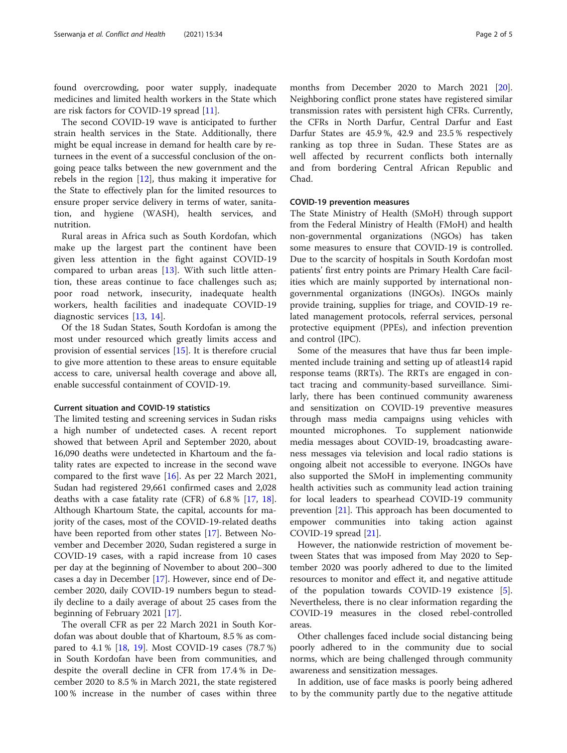found overcrowding, poor water supply, inadequate medicines and limited health workers in the State which are risk factors for COVID-19 spread [[11](#page-4-0)].

The second COVID-19 wave is anticipated to further strain health services in the State. Additionally, there might be equal increase in demand for health care by returnees in the event of a successful conclusion of the ongoing peace talks between the new government and the rebels in the region [[12\]](#page-4-0), thus making it imperative for the State to effectively plan for the limited resources to ensure proper service delivery in terms of water, sanitation, and hygiene (WASH), health services, and nutrition.

Rural areas in Africa such as South Kordofan, which make up the largest part the continent have been given less attention in the fight against COVID-19 compared to urban areas  $[13]$  $[13]$  $[13]$ . With such little attention, these areas continue to face challenges such as; poor road network, insecurity, inadequate health workers, health facilities and inadequate COVID-19 diagnostic services [\[13](#page-4-0), [14](#page-4-0)].

Of the 18 Sudan States, South Kordofan is among the most under resourced which greatly limits access and provision of essential services [\[15\]](#page-4-0). It is therefore crucial to give more attention to these areas to ensure equitable access to care, universal health coverage and above all, enable successful containment of COVID-19.

## Current situation and COVID-19 statistics

The limited testing and screening services in Sudan risks a high number of undetected cases. A recent report showed that between April and September 2020, about 16,090 deaths were undetected in Khartoum and the fatality rates are expected to increase in the second wave compared to the first wave [\[16](#page-4-0)]. As per 22 March 2021, Sudan had registered 29,661 confirmed cases and 2,028 deaths with a case fatality rate (CFR) of 6.8 % [\[17](#page-4-0), [18](#page-4-0)]. Although Khartoum State, the capital, accounts for majority of the cases, most of the COVID-19-related deaths have been reported from other states [[17\]](#page-4-0). Between November and December 2020, Sudan registered a surge in COVID-19 cases, with a rapid increase from 10 cases per day at the beginning of November to about 200–300 cases a day in December [\[17](#page-4-0)]. However, since end of December 2020, daily COVID-19 numbers begun to steadily decline to a daily average of about 25 cases from the beginning of February 2021 [[17](#page-4-0)].

The overall CFR as per 22 March 2021 in South Kordofan was about double that of Khartoum, 8.5 % as compared to 4.1 % [\[18,](#page-4-0) [19](#page-4-0)]. Most COVID-19 cases (78.7 %) in South Kordofan have been from communities, and despite the overall decline in CFR from 17.4 % in December 2020 to 8.5 % in March 2021, the state registered 100 % increase in the number of cases within three

months from December 2020 to March 2021 [\[20](#page-4-0)]. Neighboring conflict prone states have registered similar transmission rates with persistent high CFRs. Currently, the CFRs in North Darfur, Central Darfur and East Darfur States are 45.9 %, 42.9 and 23.5 % respectively ranking as top three in Sudan. These States are as well affected by recurrent conflicts both internally and from bordering Central African Republic and Chad.

#### COVID-19 prevention measures

The State Ministry of Health (SMoH) through support from the Federal Ministry of Health (FMoH) and health non-governmental organizations (NGOs) has taken some measures to ensure that COVID-19 is controlled. Due to the scarcity of hospitals in South Kordofan most patients' first entry points are Primary Health Care facilities which are mainly supported by international nongovernmental organizations (INGOs). INGOs mainly provide training, supplies for triage, and COVID-19 related management protocols, referral services, personal protective equipment (PPEs), and infection prevention and control (IPC).

Some of the measures that have thus far been implemented include training and setting up of atleast14 rapid response teams (RRTs). The RRTs are engaged in contact tracing and community-based surveillance. Similarly, there has been continued community awareness and sensitization on COVID-19 preventive measures through mass media campaigns using vehicles with mounted microphones. To supplement nationwide media messages about COVID-19, broadcasting awareness messages via television and local radio stations is ongoing albeit not accessible to everyone. INGOs have also supported the SMoH in implementing community health activities such as community lead action training for local leaders to spearhead COVID-19 community prevention [\[21\]](#page-4-0). This approach has been documented to empower communities into taking action against COVID-19 spread [\[21](#page-4-0)].

However, the nationwide restriction of movement between States that was imposed from May 2020 to September 2020 was poorly adhered to due to the limited resources to monitor and effect it, and negative attitude of the population towards COVID-19 existence [\[5](#page-3-0)]. Nevertheless, there is no clear information regarding the COVID-19 measures in the closed rebel-controlled areas.

Other challenges faced include social distancing being poorly adhered to in the community due to social norms, which are being challenged through community awareness and sensitization messages.

In addition, use of face masks is poorly being adhered to by the community partly due to the negative attitude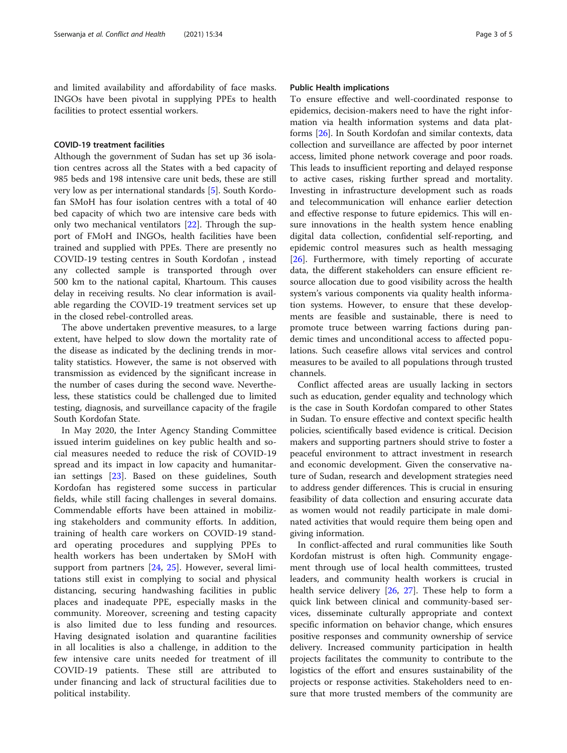and limited availability and affordability of face masks. INGOs have been pivotal in supplying PPEs to health facilities to protect essential workers.

#### COVID-19 treatment facilities

Although the government of Sudan has set up 36 isolation centres across all the States with a bed capacity of 985 beds and 198 intensive care unit beds, these are still very low as per international standards [\[5](#page-3-0)]. South Kordofan SMoH has four isolation centres with a total of 40 bed capacity of which two are intensive care beds with only two mechanical ventilators [[22\]](#page-4-0). Through the support of FMoH and INGOs, health facilities have been trained and supplied with PPEs. There are presently no COVID-19 testing centres in South Kordofan , instead any collected sample is transported through over 500 km to the national capital, Khartoum. This causes delay in receiving results. No clear information is available regarding the COVID-19 treatment services set up in the closed rebel-controlled areas.

The above undertaken preventive measures, to a large extent, have helped to slow down the mortality rate of the disease as indicated by the declining trends in mortality statistics. However, the same is not observed with transmission as evidenced by the significant increase in the number of cases during the second wave. Nevertheless, these statistics could be challenged due to limited testing, diagnosis, and surveillance capacity of the fragile South Kordofan State.

In May 2020, the Inter Agency Standing Committee issued interim guidelines on key public health and social measures needed to reduce the risk of COVID-19 spread and its impact in low capacity and humanitarian settings [\[23](#page-4-0)]. Based on these guidelines, South Kordofan has registered some success in particular fields, while still facing challenges in several domains. Commendable efforts have been attained in mobilizing stakeholders and community efforts. In addition, training of health care workers on COVID-19 standard operating procedures and supplying PPEs to health workers has been undertaken by SMoH with support from partners [[24](#page-4-0), [25](#page-4-0)]. However, several limitations still exist in complying to social and physical distancing, securing handwashing facilities in public places and inadequate PPE, especially masks in the community. Moreover, screening and testing capacity is also limited due to less funding and resources. Having designated isolation and quarantine facilities in all localities is also a challenge, in addition to the few intensive care units needed for treatment of ill COVID-19 patients. These still are attributed to under financing and lack of structural facilities due to political instability.

#### Public Health implications

To ensure effective and well-coordinated response to epidemics, decision-makers need to have the right information via health information systems and data platforms [[26](#page-4-0)]. In South Kordofan and similar contexts, data collection and surveillance are affected by poor internet access, limited phone network coverage and poor roads. This leads to insufficient reporting and delayed response to active cases, risking further spread and mortality. Investing in infrastructure development such as roads and telecommunication will enhance earlier detection and effective response to future epidemics. This will ensure innovations in the health system hence enabling digital data collection, confidential self-reporting, and epidemic control measures such as health messaging [[26\]](#page-4-0). Furthermore, with timely reporting of accurate data, the different stakeholders can ensure efficient resource allocation due to good visibility across the health system's various components via quality health information systems. However, to ensure that these developments are feasible and sustainable, there is need to promote truce between warring factions during pandemic times and unconditional access to affected populations. Such ceasefire allows vital services and control measures to be availed to all populations through trusted channels.

Conflict affected areas are usually lacking in sectors such as education, gender equality and technology which is the case in South Kordofan compared to other States in Sudan. To ensure effective and context specific health policies, scientifically based evidence is critical. Decision makers and supporting partners should strive to foster a peaceful environment to attract investment in research and economic development. Given the conservative nature of Sudan, research and development strategies need to address gender differences. This is crucial in ensuring feasibility of data collection and ensuring accurate data as women would not readily participate in male dominated activities that would require them being open and giving information.

In conflict-affected and rural communities like South Kordofan mistrust is often high. Community engagement through use of local health committees, trusted leaders, and community health workers is crucial in health service delivery [\[26](#page-4-0), [27](#page-4-0)]. These help to form a quick link between clinical and community-based services, disseminate culturally appropriate and context specific information on behavior change, which ensures positive responses and community ownership of service delivery. Increased community participation in health projects facilitates the community to contribute to the logistics of the effort and ensures sustainability of the projects or response activities. Stakeholders need to ensure that more trusted members of the community are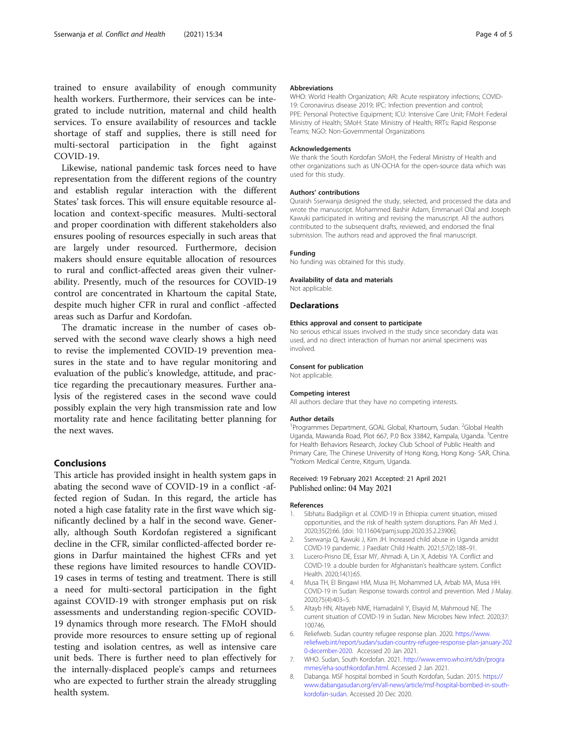<span id="page-3-0"></span>trained to ensure availability of enough community health workers. Furthermore, their services can be integrated to include nutrition, maternal and child health services. To ensure availability of resources and tackle shortage of staff and supplies, there is still need for multi-sectoral participation in the fight against COVID-19.

Likewise, national pandemic task forces need to have representation from the different regions of the country and establish regular interaction with the different States' task forces. This will ensure equitable resource allocation and context-specific measures. Multi-sectoral and proper coordination with different stakeholders also ensures pooling of resources especially in such areas that are largely under resourced. Furthermore, decision makers should ensure equitable allocation of resources to rural and conflict-affected areas given their vulnerability. Presently, much of the resources for COVID-19 control are concentrated in Khartoum the capital State, despite much higher CFR in rural and conflict -affected areas such as Darfur and Kordofan.

The dramatic increase in the number of cases observed with the second wave clearly shows a high need to revise the implemented COVID-19 prevention measures in the state and to have regular monitoring and evaluation of the public's knowledge, attitude, and practice regarding the precautionary measures. Further analysis of the registered cases in the second wave could possibly explain the very high transmission rate and low mortality rate and hence facilitating better planning for the next waves.

### Conclusions

This article has provided insight in health system gaps in abating the second wave of COVID-19 in a conflict -affected region of Sudan. In this regard, the article has noted a high case fatality rate in the first wave which significantly declined by a half in the second wave. Generally, although South Kordofan registered a significant decline in the CFR, similar conflicted-affected border regions in Darfur maintained the highest CFRs and yet these regions have limited resources to handle COVID-19 cases in terms of testing and treatment. There is still a need for multi-sectoral participation in the fight against COVID-19 with stronger emphasis put on risk assessments and understanding region-specific COVID-19 dynamics through more research. The FMoH should provide more resources to ensure setting up of regional testing and isolation centres, as well as intensive care unit beds. There is further need to plan effectively for the internally-displaced people's camps and returnees who are expected to further strain the already struggling health system.

#### Abbreviations

WHO: World Health Organization; ARI: Acute respiratory infections; COVID-19: Coronavirus disease 2019; IPC: Infection prevention and control; PPE: Personal Protective Equipment; ICU: Intensive Care Unit; FMoH: Federal Ministry of Health; SMoH: State Ministry of Health; RRTs: Rapid Response Teams; NGO: Non-Governmental Organizations

#### Acknowledgements

We thank the South Kordofan SMoH, the Federal Ministry of Health and other organizations such as UN-OCHA for the open-source data which was used for this study.

#### Authors' contributions

Quraish Sserwanja designed the study, selected, and processed the data and wrote the manuscript. Mohammed Bashir Adam, Emmanuel Olal and Joseph Kawuki participated in writing and revising the manuscript. All the authors contributed to the subsequent drafts, reviewed, and endorsed the final submission. The authors read and approved the final manuscript.

#### Funding

No funding was obtained for this study.

#### Availability of data and materials

Not applicable.

#### **Declarations**

#### Ethics approval and consent to participate

No serious ethical issues involved in the study since secondary data was used, and no direct interaction of human nor animal specimens was involved.

#### Consent for publication

Not applicable.

#### Competing interest

All authors declare that they have no competing interests.

#### Author details

<sup>1</sup> Programmes Department, GOAL Global, Khartoum, Sudan. <sup>2</sup>Global Health Uganda, Mawanda Road, Plot 667, P.0 Box 33842, Kampala, Uganda. <sup>3</sup>Centre for Health Behaviors Research, Jockey Club School of Public Health and Primary Care, The Chinese University of Hong Kong, Hong Kong- SAR, China. 4 Yotkom Medical Centre, Kitgum, Uganda.

#### Received: 19 February 2021 Accepted: 21 April 2021 Published online: 04 May 2021

#### References

- 1. Sibhatu Biadgilign et al. COVID-19 in Ethiopia: current situation, missed opportunities, and the risk of health system disruptions. Pan Afr Med J. 2020;35(2):66. [doi: 10.11604/pamj.supp.2020.35.2.23906].
- 2. Sserwanja Q, Kawuki J, Kim JH. Increased child abuse in Uganda amidst COVID-19 pandemic. J Paediatr Child Health. 2021;57(2):188–91.
- Lucero-Prisno DE, Essar MY, Ahmadi A, Lin X, Adebisi YA. Conflict and COVID-19: a double burden for Afghanistan's healthcare system. Conflict Health. 2020;14(1):65.
- 4. Musa TH, El Bingawi HM, Musa IH, Mohammed LA, Arbab MA, Musa HH. COVID-19 in Sudan: Response towards control and prevention. Med J Malay. 2020;75(4):403–5.
- 5. Altayb HN, Altayeb NME, Hamadalnil Y, Elsayid M, Mahmoud NE. The current situation of COVID-19 in Sudan. New Microbes New Infect. 2020;37: 100746.
- 6. Reliefweb. Sudan country refugee response plan. 2020. [https://www.](https://www.reliefweb.int/report/sudan/sudan-country-refugee-response-plan-january-2020-december-2020) [reliefweb.int/report/sudan/sudan-country-refugee-response-plan-january-202](https://www.reliefweb.int/report/sudan/sudan-country-refugee-response-plan-january-2020-december-2020) [0-december-2020.](https://www.reliefweb.int/report/sudan/sudan-country-refugee-response-plan-january-2020-december-2020) Accessed 20 Jan 2021.
- 7. WHO. Sudan, South Kordofan. 2021. [http://www.emro.who.int/sdn/progra](http://www.emro.who.int/sdn/programmes/eha-southkordofan.html) [mmes/eha-southkordofan.html.](http://www.emro.who.int/sdn/programmes/eha-southkordofan.html) Accessed 2 Jan 2021.
- 8. Dabanga. MSF hospital bombed in South Kordofan, Sudan. 2015. [https://](https://www.dabangasudan.org/en/all-news/article/msf-hospital-bombed-in-south-kordofan-sudan) [www.dabangasudan.org/en/all-news/article/msf-hospital-bombed-in-south](https://www.dabangasudan.org/en/all-news/article/msf-hospital-bombed-in-south-kordofan-sudan)[kordofan-sudan](https://www.dabangasudan.org/en/all-news/article/msf-hospital-bombed-in-south-kordofan-sudan). Accessed 20 Dec 2020.